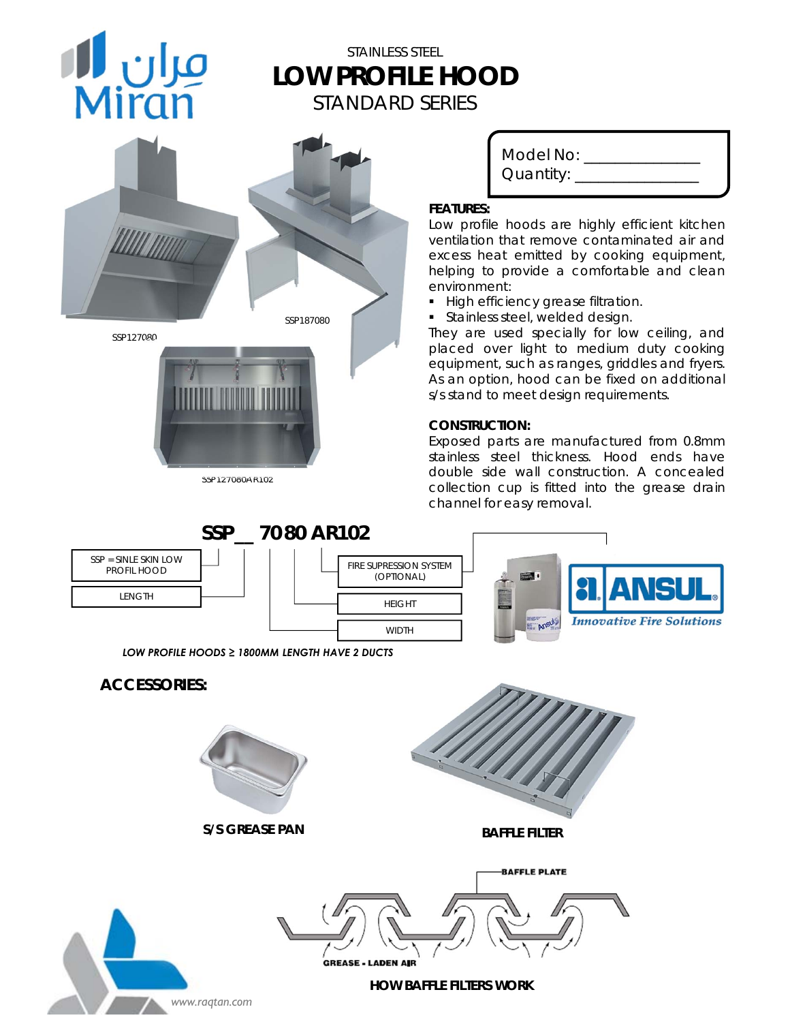# مران **ال**<br>Miran

# STAINLESS STEEL **LOW PROFILE HOOD**  STANDARD SERIES



*SSP127080AR102*

Model No: \_\_\_\_\_\_\_\_\_\_ Quantity: \_\_\_\_\_\_\_\_\_\_\_\_\_\_\_\_

### **FEATURES:**

Low profile hoods are highly efficient kitchen ventilation that remove contaminated air and excess heat emitted by cooking equipment, helping to provide a comfortable and clean environment:

- **High efficiency grease filtration.**
- **Stainless steel, welded design.**

They are used specially for low ceiling, and placed over light to medium duty cooking equipment, such as ranges, griddles and fryers. As an option, hood can be fixed on additional s/s stand to meet design requirements.

### **CONSTRUCTION:**

Exposed parts are manufactured from 0.8mm stainless steel thickness. Hood ends have double side wall construction. A concealed collection cup is fitted into the grease drain channel for easy removal.

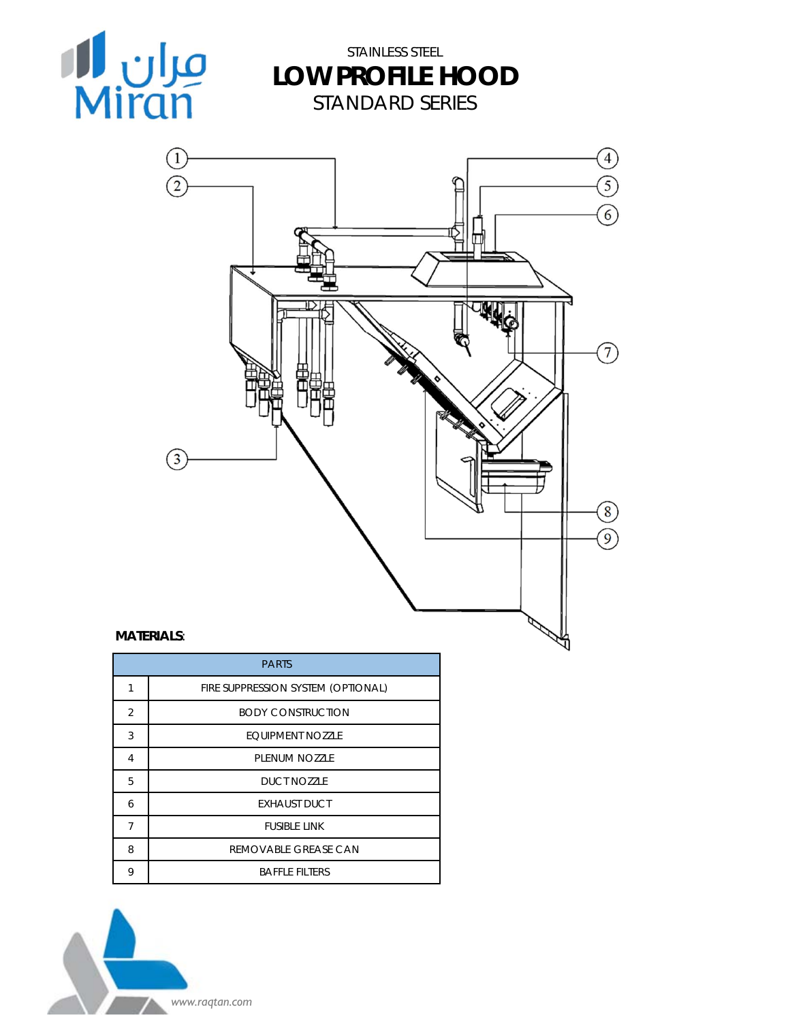

STAINLESS STEEL **LOW PROFILE HOOD**  STANDARD SERIES



### **MATERIALS**:

|                | <b>PARTS</b>                       |
|----------------|------------------------------------|
| 1              | FIRE SUPPRESSION SYSTEM (OPTIONAL) |
| $\overline{2}$ | <b>BODY CONSTRUCTION</b>           |
| 3              | <b>FOUIPMENT NOZZLE</b>            |
| 4              | PLENUM NO77LE                      |
| 5              | DUCT NO77LE                        |
| 6              | <b>EXHAUST DUCT</b>                |
| 7              | <b>FUSIBLE LINK</b>                |
| 8              | REMOVABLE GREASE CAN               |
| 9              | <b>BAFFLE FILTERS</b>              |